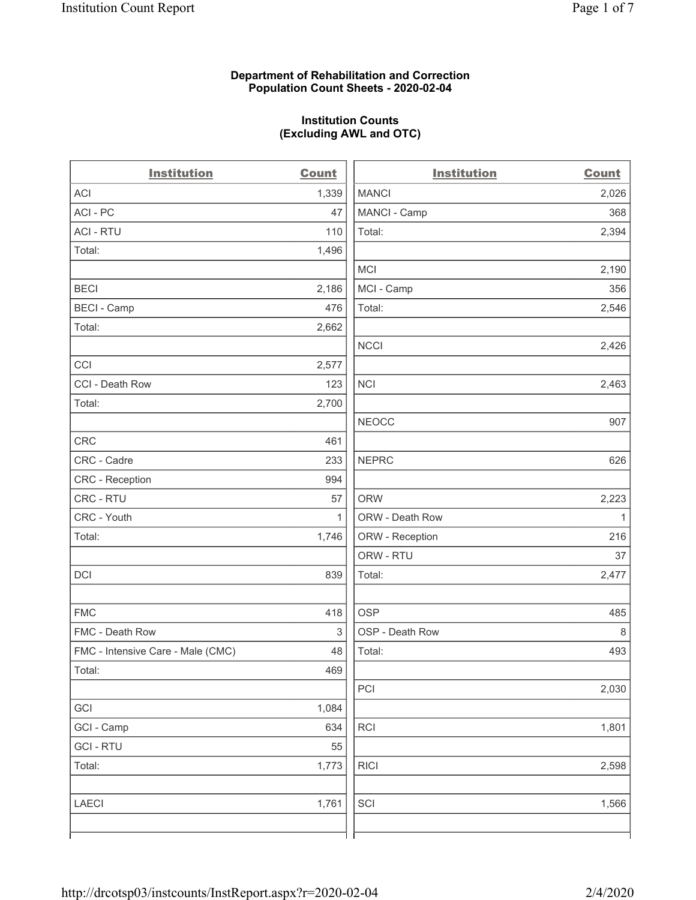## **Department of Rehabilitation and Correction Population Count Sheets - 2020-02-04**

## **Institution Counts (Excluding AWL and OTC)**

 $\overline{a}$ 

| <b>Institution</b>                | <b>Count</b> | <b>Institution</b> | Count        |
|-----------------------------------|--------------|--------------------|--------------|
| ACI                               | 1,339        | <b>MANCI</b>       | 2,026        |
| ACI - PC                          | 47           | MANCI - Camp       | 368          |
| <b>ACI - RTU</b>                  | 110          | Total:             | 2,394        |
| Total:                            | 1,496        |                    |              |
|                                   |              | MCI                | 2,190        |
| <b>BECI</b>                       | 2,186        | MCI - Camp         | 356          |
| <b>BECI - Camp</b>                | 476          | Total:             | 2,546        |
| Total:                            | 2,662        |                    |              |
|                                   |              | <b>NCCI</b>        | 2,426        |
| CCI                               | 2,577        |                    |              |
| CCI - Death Row                   | 123          | <b>NCI</b>         | 2,463        |
| Total:                            | 2,700        |                    |              |
|                                   |              | <b>NEOCC</b>       | 907          |
| <b>CRC</b>                        | 461          |                    |              |
| CRC - Cadre                       | 233          | <b>NEPRC</b>       | 626          |
| CRC - Reception                   | 994          |                    |              |
| CRC - RTU                         | 57           | <b>ORW</b>         | 2,223        |
| CRC - Youth                       | $\mathbf{1}$ | ORW - Death Row    | $\mathbf{1}$ |
| Total:                            | 1,746        | ORW - Reception    | 216          |
|                                   |              | ORW - RTU          | 37           |
| DCI                               | 839          | Total:             | 2,477        |
| <b>FMC</b>                        | 418          | <b>OSP</b>         | 485          |
| FMC - Death Row                   | 3            | OSP - Death Row    | 8            |
| FMC - Intensive Care - Male (CMC) | 48           | Total:             | 493          |
| Total:                            | 469          |                    |              |
|                                   |              | PCI                | 2,030        |
| GCI                               | 1,084        |                    |              |
| GCI - Camp                        | 634          | <b>RCI</b>         | 1,801        |
| <b>GCI-RTU</b>                    | 55           |                    |              |
| Total:                            | 1,773        | <b>RICI</b>        | 2,598        |
| <b>LAECI</b>                      | 1,761        | SCI                | 1,566        |
|                                   |              |                    |              |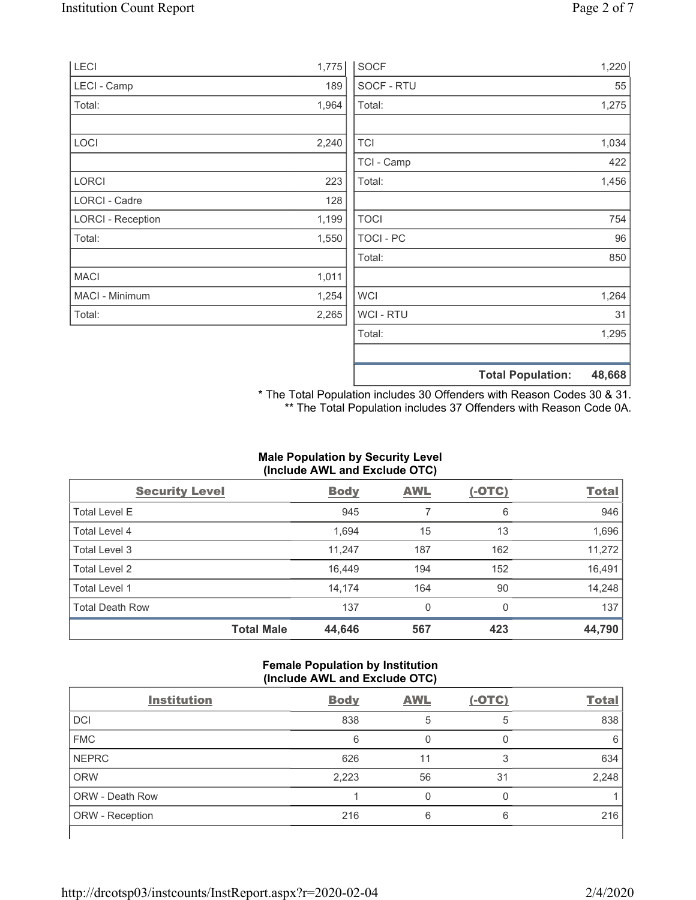| <b>LECI</b>              | 1,775 | <b>SOCF</b>    | 1,220                              |
|--------------------------|-------|----------------|------------------------------------|
| LECI - Camp              | 189   | SOCF - RTU     | 55                                 |
| Total:                   | 1,964 | Total:         | 1,275                              |
|                          |       |                |                                    |
| LOCI                     | 2,240 | <b>TCI</b>     | 1,034                              |
|                          |       | TCI - Camp     | 422                                |
| LORCI                    | 223   | Total:         | 1,456                              |
| LORCI - Cadre            | 128   |                |                                    |
| <b>LORCI - Reception</b> | 1,199 | <b>TOCI</b>    | 754                                |
| Total:                   | 1,550 | TOCI - PC      | 96                                 |
|                          |       | Total:         | 850                                |
| <b>MACI</b>              | 1,011 |                |                                    |
| MACI - Minimum           | 1,254 | <b>WCI</b>     | 1,264                              |
| Total:                   | 2,265 | <b>WCI-RTU</b> | 31                                 |
|                          |       | Total:         | 1,295                              |
|                          |       |                | <b>Total Population:</b><br>48,668 |

\* The Total Population includes 30 Offenders with Reason Codes 30 & 31. \*\* The Total Population includes 37 Offenders with Reason Code 0A.

## **Male Population by Security Level (Include AWL and Exclude OTC)**

| <b>Security Level</b>  |                   | <b>Body</b> | <b>AWL</b> | $(-OTC)$ | <b>Total</b> |
|------------------------|-------------------|-------------|------------|----------|--------------|
| <b>Total Level E</b>   |                   | 945         |            | 6        | 946          |
| Total Level 4          |                   | 1,694       | 15         | 13       | 1,696        |
| Total Level 3          |                   | 11,247      | 187        | 162      | 11,272       |
| Total Level 2          |                   | 16.449      | 194        | 152      | 16,491       |
| Total Level 1          |                   | 14,174      | 164        | 90       | 14,248       |
| <b>Total Death Row</b> |                   | 137         | $\Omega$   | $\Omega$ | 137          |
|                        | <b>Total Male</b> | 44,646      | 567        | 423      | 44,790       |

## **Female Population by Institution (Include AWL and Exclude OTC)**

| <b>Institution</b>     | <b>Body</b> | <b>AWL</b> | $(-OTC)$ | <b>Total</b> |
|------------------------|-------------|------------|----------|--------------|
| <b>DCI</b>             | 838         | 5          | 5        | 838          |
| <b>FMC</b>             | 6           |            |          | 6            |
| <b>NEPRC</b>           | 626         | 11         | 3        | 634          |
| <b>ORW</b>             | 2,223       | 56         | 31       | 2,248        |
| <b>ORW - Death Row</b> |             |            |          |              |
| ORW - Reception        | 216         | 6          | 6        | 216          |
|                        |             |            |          |              |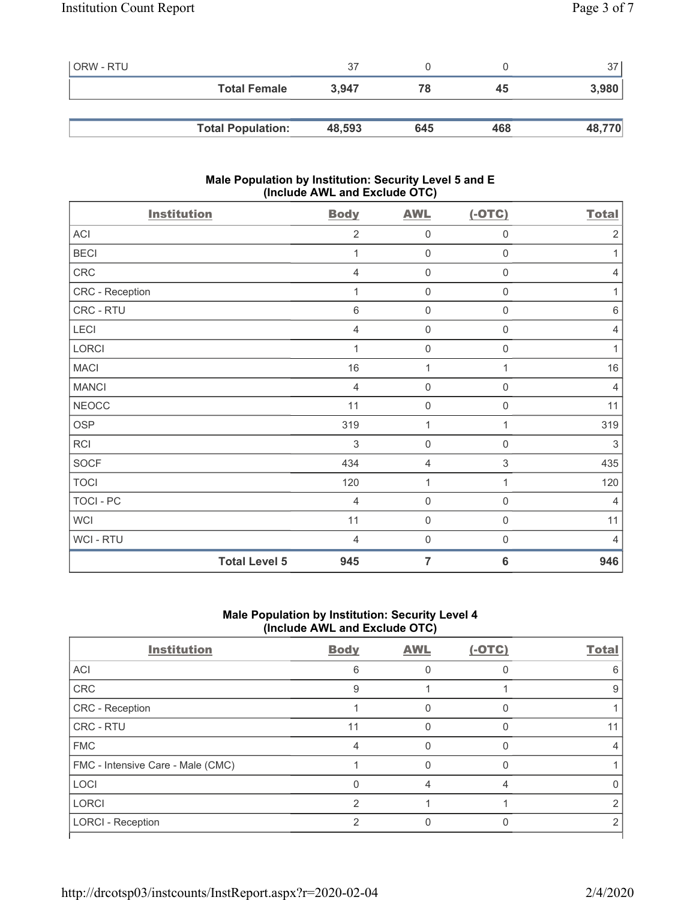| ORW - RTU |                          | 37     |     |     | 37 <sup>1</sup> |
|-----------|--------------------------|--------|-----|-----|-----------------|
|           | <b>Total Female</b>      | 3.947  | 78  | 45  | 3,980           |
|           |                          |        |     |     |                 |
|           | <b>Total Population:</b> | 48,593 | 645 | 468 | 48,770          |

## **Male Population by Institution: Security Level 5 and E (Include AWL and Exclude OTC)**

| <b>Institution</b>   | <b>Body</b>    | <b>AWL</b>          | $(-OTC)$                  | <b>Total</b>   |
|----------------------|----------------|---------------------|---------------------------|----------------|
| ACI                  | $\overline{2}$ | $\mathsf{O}\xspace$ | 0                         | $\overline{2}$ |
| <b>BECI</b>          | 1              | $\mathbf 0$         | $\mathbf 0$               | 1              |
| CRC                  | $\overline{4}$ | $\mathbf 0$         | $\mathsf{O}\xspace$       | $\overline{4}$ |
| CRC - Reception      | 1              | $\mathsf{O}\xspace$ | $\mathsf{O}\xspace$       | 1              |
| CRC - RTU            | $\,6\,$        | $\mathsf{O}\xspace$ | $\mathsf{O}\xspace$       | $\,6\,$        |
| LECI                 | $\overline{4}$ | $\mathsf{O}\xspace$ | $\mathsf{O}\xspace$       | 4              |
| LORCI                | 1              | $\mathsf{O}\xspace$ | $\mathsf{O}\xspace$       | $\mathbf 1$    |
| <b>MACI</b>          | 16             | 1                   | 1                         | 16             |
| <b>MANCI</b>         | $\overline{4}$ | $\mathbf 0$         | 0                         | $\overline{4}$ |
| <b>NEOCC</b>         | 11             | $\mathsf 0$         | 0                         | 11             |
| <b>OSP</b>           | 319            | 1                   | 1                         | 319            |
| RCI                  | 3              | $\mathsf{O}\xspace$ | 0                         | 3              |
| <b>SOCF</b>          | 434            | 4                   | $\ensuremath{\mathsf{3}}$ | 435            |
| <b>TOCI</b>          | 120            | 1                   | 1                         | 120            |
| TOCI - PC            | $\overline{4}$ | $\mathsf{O}\xspace$ | $\mathbf 0$               | $\overline{4}$ |
| <b>WCI</b>           | 11             | $\mathbf 0$         | 0                         | 11             |
| WCI - RTU            | $\overline{4}$ | $\mathbf 0$         | $\boldsymbol{0}$          | $\overline{4}$ |
| <b>Total Level 5</b> | 945            | $\overline{7}$      | $6\phantom{1}6$           | 946            |

# **Male Population by Institution: Security Level 4 (Include AWL and Exclude OTC)**

| <b>Institution</b>                | <b>Body</b> | <b>AWL</b> | $(-OTC)$ | Total |
|-----------------------------------|-------------|------------|----------|-------|
| <b>ACI</b>                        | 6           |            |          | 6     |
| CRC                               | 9           |            |          | 9     |
| <b>CRC</b> - Reception            |             |            |          |       |
| <b>CRC - RTU</b>                  | 11          |            |          |       |
| <b>FMC</b>                        |             |            |          |       |
| FMC - Intensive Care - Male (CMC) |             |            |          |       |
| LOCI                              |             |            |          |       |
| <b>LORCI</b>                      | っ           |            |          |       |
| <b>LORCI - Reception</b>          | 2           |            |          |       |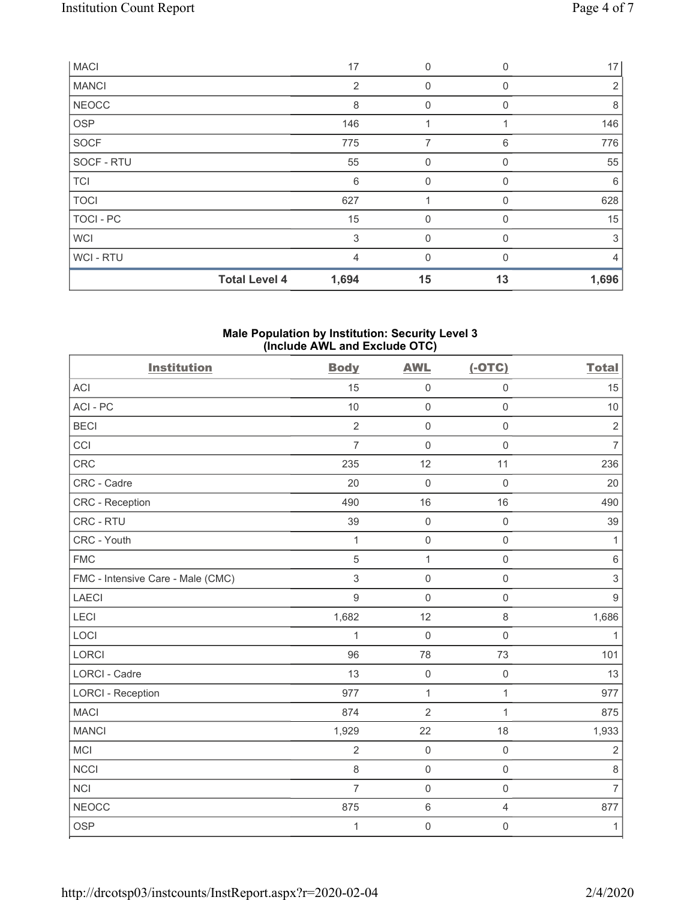| <b>MACI</b>  |                      | 17    | $\mathbf 0$  | $\Omega$ | 17             |
|--------------|----------------------|-------|--------------|----------|----------------|
| <b>MANCI</b> |                      | 2     | $\mathbf 0$  | $\Omega$ | $\overline{2}$ |
| <b>NEOCC</b> |                      | 8     | 0            | $\Omega$ | 8              |
| <b>OSP</b>   |                      | 146   |              |          | 146            |
| SOCF         |                      | 775   | 7            | 6        | 776            |
| SOCF - RTU   |                      | 55    | $\mathbf 0$  | 0        | 55             |
| <b>TCI</b>   |                      | 6     | $\mathbf 0$  | 0        | 6              |
| <b>TOCI</b>  |                      | 627   |              | 0        | 628            |
| TOCI - PC    |                      | 15    | $\mathbf{0}$ | 0        | 15             |
| <b>WCI</b>   |                      | 3     | $\mathbf 0$  | 0        | 3              |
| WCI - RTU    |                      | 4     | $\mathbf{0}$ | $\Omega$ | $\overline{4}$ |
|              | <b>Total Level 4</b> | 1,694 | 15           | 13       | 1,696          |

#### **Male Population by Institution: Security Level 3 (Include AWL and Exclude OTC)**

| <b>Institution</b>                | <b>Body</b>    | <b>AWL</b>     | $(-OTC)$            | <b>Total</b>   |
|-----------------------------------|----------------|----------------|---------------------|----------------|
| ACI                               | 15             | $\mathbf 0$    | $\mathsf 0$         | 15             |
| ACI-PC                            | 10             | $\mathbf 0$    | $\mathbf 0$         | 10             |
| <b>BECI</b>                       | $\overline{2}$ | $\mathbf 0$    | $\mathbf 0$         | $\overline{2}$ |
| CCI                               | $\overline{7}$ | $\mathbf 0$    | $\mathbf 0$         | $\overline{7}$ |
| CRC                               | 235            | 12             | 11                  | 236            |
| CRC - Cadre                       | 20             | $\mathbf 0$    | $\mathsf{O}\xspace$ | 20             |
| CRC - Reception                   | 490            | 16             | 16                  | 490            |
| CRC - RTU                         | 39             | $\mathbf 0$    | $\mathsf{O}\xspace$ | 39             |
| CRC - Youth                       | 1              | $\mathbf 0$    | $\mathbf 0$         | $\mathbf{1}$   |
| <b>FMC</b>                        | 5              | $\mathbf{1}$   | $\mathbf 0$         | $\,6\,$        |
| FMC - Intensive Care - Male (CMC) | $\sqrt{3}$     | $\mathbf 0$    | $\mathsf 0$         | $\,$ 3 $\,$    |
| <b>LAECI</b>                      | $9\,$          | $\mathbf 0$    | $\mathsf{O}\xspace$ | $\overline{9}$ |
| LECI                              | 1,682          | 12             | 8                   | 1,686          |
| LOCI                              | $\mathbf{1}$   | $\mathbf 0$    | $\mathbf 0$         | $\mathbf{1}$   |
| <b>LORCI</b>                      | 96             | 78             | 73                  | 101            |
| LORCI - Cadre                     | 13             | $\mathbf 0$    | $\mathsf{O}\xspace$ | 13             |
| <b>LORCI - Reception</b>          | 977            | $\mathbf{1}$   | $\mathbf{1}$        | 977            |
| <b>MACI</b>                       | 874            | $\overline{2}$ | $\mathbf{1}$        | 875            |
| <b>MANCI</b>                      | 1,929          | 22             | 18                  | 1,933          |
| <b>MCI</b>                        | $\overline{2}$ | $\mathbf 0$    | $\mathbf 0$         | $\overline{2}$ |
| <b>NCCI</b>                       | 8              | $\mathbf 0$    | $\mathbf 0$         | $\,8\,$        |
| <b>NCI</b>                        | $\overline{7}$ | $\mathbf 0$    | $\mathsf 0$         | $\overline{7}$ |
| <b>NEOCC</b>                      | 875            | $\,6\,$        | 4                   | 877            |
| <b>OSP</b>                        | 1              | $\mathbf 0$    | $\mathsf{O}\xspace$ | $\mathbf{1}$   |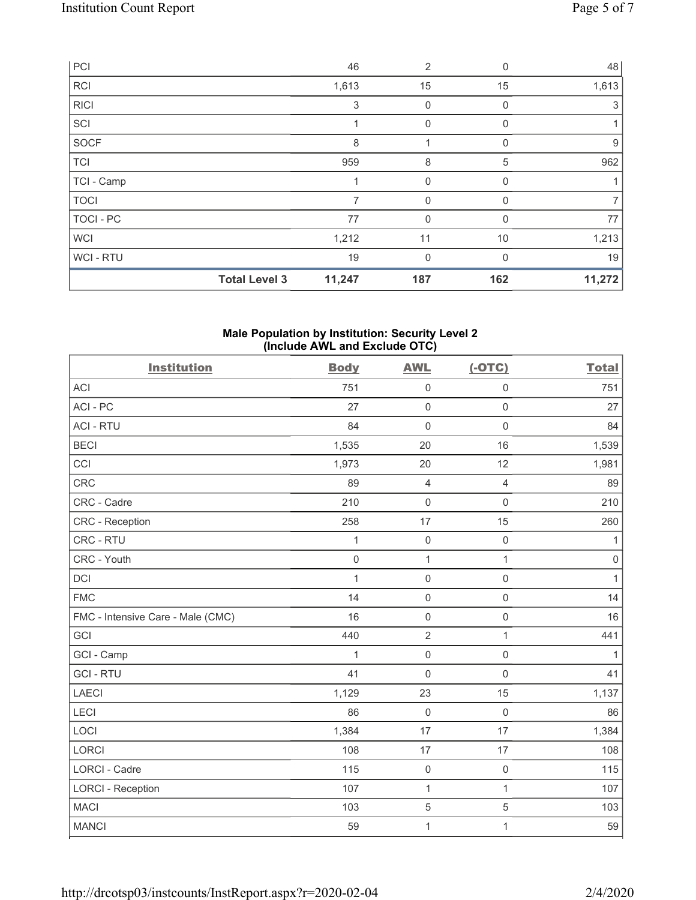| PCI              |                      | 46             | 2            | 0        | 48     |
|------------------|----------------------|----------------|--------------|----------|--------|
| <b>RCI</b>       |                      | 1,613          | 15           | 15       | 1,613  |
| <b>RICI</b>      |                      | 3              | $\mathbf 0$  | $\Omega$ | 3      |
| SCI              |                      |                | $\mathbf 0$  | $\Omega$ |        |
| SOCF             |                      | 8              |              | $\Omega$ | 9      |
| <b>TCI</b>       |                      | 959            | 8            | 5        | 962    |
| TCI - Camp       |                      |                | $\mathbf 0$  | 0        |        |
| <b>TOCI</b>      |                      | $\overline{7}$ | $\mathbf 0$  | 0        | 7      |
| <b>TOCI - PC</b> |                      | 77             | $\mathbf{0}$ | 0        | 77     |
| <b>WCI</b>       |                      | 1,212          | 11           | 10       | 1,213  |
| WCI-RTU          |                      | 19             | $\mathbf{0}$ | $\Omega$ | 19     |
|                  | <b>Total Level 3</b> | 11,247         | 187          | 162      | 11,272 |

#### **Male Population by Institution: Security Level 2 (Include AWL and Exclude OTC)**

| <b>Institution</b>                | <b>Body</b>  | <b>AWL</b>          | $(-OTC)$            | <b>Total</b> |
|-----------------------------------|--------------|---------------------|---------------------|--------------|
| <b>ACI</b>                        | 751          | $\mathsf 0$         | $\mathsf 0$         | 751          |
| ACI-PC                            | 27           | $\mathsf 0$         | $\mathsf{O}\xspace$ | 27           |
| <b>ACI - RTU</b>                  | 84           | $\mathbf 0$         | $\mathsf 0$         | 84           |
| <b>BECI</b>                       | 1,535        | 20                  | 16                  | 1,539        |
| CCI                               | 1,973        | 20                  | 12                  | 1,981        |
| CRC                               | 89           | $\overline{4}$      | $\overline{4}$      | 89           |
| CRC - Cadre                       | 210          | $\mathbf 0$         | $\mathbf 0$         | 210          |
| CRC - Reception                   | 258          | 17                  | 15                  | 260          |
| CRC - RTU                         | 1            | $\mathbf 0$         | $\mathsf{O}\xspace$ | $\mathbf{1}$ |
| CRC - Youth                       | $\mathbf 0$  | $\mathbf{1}$        | $\mathbf{1}$        | $\,0\,$      |
| <b>DCI</b>                        | $\mathbf{1}$ | $\mathsf{O}\xspace$ | $\mathsf{O}\xspace$ | $\mathbf{1}$ |
| <b>FMC</b>                        | 14           | $\mathsf{O}\xspace$ | $\mathbf 0$         | 14           |
| FMC - Intensive Care - Male (CMC) | 16           | $\mathsf{O}\xspace$ | $\mathsf{O}\xspace$ | 16           |
| GCI                               | 440          | $\sqrt{2}$          | $\mathbf{1}$        | 441          |
| GCI - Camp                        | $\mathbf{1}$ | $\mathsf{O}\xspace$ | $\mathsf{O}\xspace$ | $\mathbf{1}$ |
| <b>GCI-RTU</b>                    | 41           | $\mathbf 0$         | $\mathsf{O}\xspace$ | 41           |
| <b>LAECI</b>                      | 1,129        | 23                  | 15                  | 1,137        |
| LECI                              | 86           | $\mathsf{O}\xspace$ | $\mathsf{O}\xspace$ | 86           |
| LOCI                              | 1,384        | 17                  | 17                  | 1,384        |
| LORCI                             | 108          | 17                  | 17                  | 108          |
| <b>LORCI - Cadre</b>              | 115          | $\mathsf{O}\xspace$ | $\mathsf{O}\xspace$ | 115          |
| <b>LORCI - Reception</b>          | 107          | $\mathbf{1}$        | $\mathbf{1}$        | 107          |
| <b>MACI</b>                       | 103          | $\mathbf 5$         | $\sqrt{5}$          | 103          |
| <b>MANCI</b>                      | 59           | $\mathbf 1$         | $\mathbf{1}$        | 59           |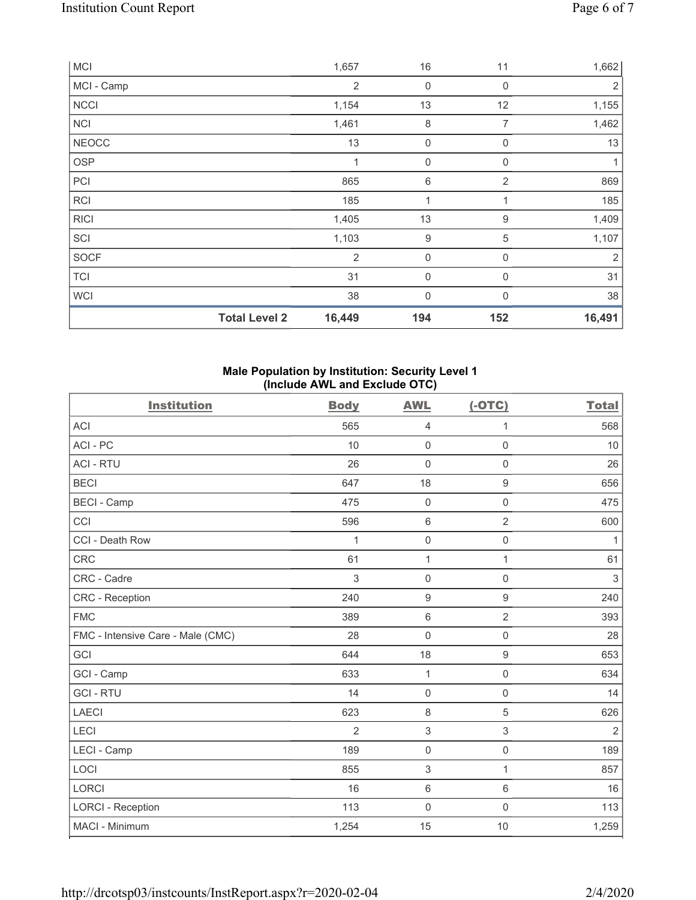|              | <b>Total Level 2</b> | 16,449         | 194         | 152            | 16,491 |
|--------------|----------------------|----------------|-------------|----------------|--------|
| <b>WCI</b>   |                      | 38             | $\mathbf 0$ | $\mathbf{0}$   | 38     |
| <b>TCI</b>   |                      | 31             | $\mathbf 0$ | $\mathbf 0$    | 31     |
| <b>SOCF</b>  |                      | $\overline{2}$ | $\mathbf 0$ | $\mathbf 0$    | 2      |
| SCI          |                      | 1,103          | 9           | $\sqrt{5}$     | 1,107  |
| <b>RICI</b>  |                      | 1,405          | 13          | 9              | 1,409  |
| <b>RCI</b>   |                      | 185            | 1           | 1              | 185    |
| PCI          |                      | 865            | 6           | $\overline{2}$ | 869    |
| <b>OSP</b>   |                      | 1              | $\mathbf 0$ | 0              |        |
| <b>NEOCC</b> |                      | 13             | $\mathbf 0$ | $\mathbf 0$    | 13     |
| <b>NCI</b>   |                      | 1,461          | 8           | 7              | 1,462  |
| <b>NCCI</b>  |                      | 1,154          | 13          | 12             | 1,155  |
| MCI - Camp   |                      | $\overline{2}$ | 0           | 0              | 2      |
| <b>MCI</b>   |                      | 1,657          | 16          | 11             | 1,662  |

## **Male Population by Institution: Security Level 1 (Include AWL and Exclude OTC)**

| <b>Institution</b>                | <b>Body</b>    | <b>AWL</b>          | $(-OTC)$            | <b>Total</b>              |
|-----------------------------------|----------------|---------------------|---------------------|---------------------------|
| <b>ACI</b>                        | 565            | $\overline{4}$      | 1                   | 568                       |
| ACI - PC                          | 10             | $\mathsf{O}\xspace$ | $\mathbf 0$         | 10                        |
| <b>ACI - RTU</b>                  | 26             | $\mathbf 0$         | $\mathbf 0$         | 26                        |
| <b>BECI</b>                       | 647            | 18                  | $\boldsymbol{9}$    | 656                       |
| <b>BECI - Camp</b>                | 475            | $\mathbf 0$         | $\mathbf 0$         | 475                       |
| CCI                               | 596            | $\,6\,$             | $\overline{2}$      | 600                       |
| CCI - Death Row                   | 1              | $\mathbf 0$         | $\mathsf 0$         | 1                         |
| <b>CRC</b>                        | 61             | $\mathbf{1}$        | $\mathbf{1}$        | 61                        |
| CRC - Cadre                       | 3              | $\mathsf{O}\xspace$ | $\mathsf 0$         | $\ensuremath{\mathsf{3}}$ |
| CRC - Reception                   | 240            | $\boldsymbol{9}$    | $9\,$               | 240                       |
| <b>FMC</b>                        | 389            | $\,6\,$             | $\overline{2}$      | 393                       |
| FMC - Intensive Care - Male (CMC) | 28             | $\overline{0}$      | $\mathsf 0$         | 28                        |
| GCI                               | 644            | 18                  | $\boldsymbol{9}$    | 653                       |
| GCI - Camp                        | 633            | $\mathbf{1}$        | $\mathsf 0$         | 634                       |
| <b>GCI-RTU</b>                    | 14             | $\mathbf 0$         | $\mathbf 0$         | 14                        |
| <b>LAECI</b>                      | 623            | $\,8\,$             | 5                   | 626                       |
| LECI                              | $\overline{2}$ | $\sqrt{3}$          | 3                   | $\overline{2}$            |
| LECI - Camp                       | 189            | $\mathbf 0$         | $\mathsf{O}\xspace$ | 189                       |
| LOCI                              | 855            | $\mathfrak{S}$      | $\mathbf{1}$        | 857                       |
| LORCI                             | 16             | $\,6\,$             | 6                   | 16                        |
| <b>LORCI - Reception</b>          | 113            | 0                   | $\mathsf{O}\xspace$ | 113                       |
| MACI - Minimum                    | 1,254          | 15                  | 10                  | 1,259                     |